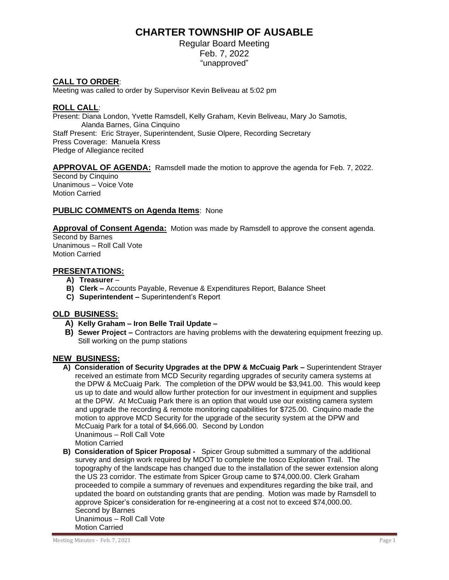# **CHARTER TOWNSHIP OF AUSABLE**

Regular Board Meeting Feb. 7, 2022 "unapproved"

# **CALL TO ORDER**:

Meeting was called to order by Supervisor Kevin Beliveau at 5:02 pm

#### **ROLL CALL**:

Present: Diana London, Yvette Ramsdell, Kelly Graham, Kevin Beliveau, Mary Jo Samotis, Alanda Barnes, Gina Cinquino Staff Present: Eric Strayer, Superintendent, Susie Olpere, Recording Secretary Press Coverage: Manuela Kress Pledge of Allegiance recited

## **APPROVAL OF AGENDA:** Ramsdell made the motion to approve the agenda for Feb. 7, 2022.

Second by Cinquino Unanimous – Voice Vote Motion Carried

## **PUBLIC COMMENTS on Agenda Items**: None

**Approval of Consent Agenda:** Motion was made by Ramsdell to approve the consent agenda.

Second by Barnes Unanimous – Roll Call Vote Motion Carried

## **PRESENTATIONS:**

- **A) Treasurer** –
- **B) Clerk –** Accounts Payable, Revenue & Expenditures Report, Balance Sheet
- **C) Superintendent –** Superintendent's Report

#### **OLD BUSINESS:**

- **A) Kelly Graham – Iron Belle Trail Update –**
- **B) Sewer Project –** Contractors are having problems with the dewatering equipment freezing up. Still working on the pump stations

#### **NEW BUSINESS:**

- **A) Consideration of Security Upgrades at the DPW & McCuaig Park –** Superintendent Strayer received an estimate from MCD Security regarding upgrades of security camera systems at the DPW & McCuaig Park. The completion of the DPW would be \$3,941.00. This would keep us up to date and would allow further protection for our investment in equipment and supplies at the DPW. At McCuaig Park there is an option that would use our existing camera system and upgrade the recording & remote monitoring capabilities for \$725.00. Cinquino made the motion to approve MCD Security for the upgrade of the security system at the DPW and McCuaig Park for a total of \$4,666.00. Second by London Unanimous – Roll Call Vote Motion Carried
- **B) Consideration of Spicer Proposal** Spicer Group submitted a summary of the additional survey and design work required by MDOT to complete the Iosco Exploration Trail. The topography of the landscape has changed due to the installation of the sewer extension along the US 23 corridor. The estimate from Spicer Group came to \$74,000.00. Clerk Graham proceeded to compile a summary of revenues and expenditures regarding the bike trail, and updated the board on outstanding grants that are pending. Motion was made by Ramsdell to approve Spicer's consideration for re-engineering at a cost not to exceed \$74,000.00. Second by Barnes Unanimous – Roll Call Vote Motion Carried